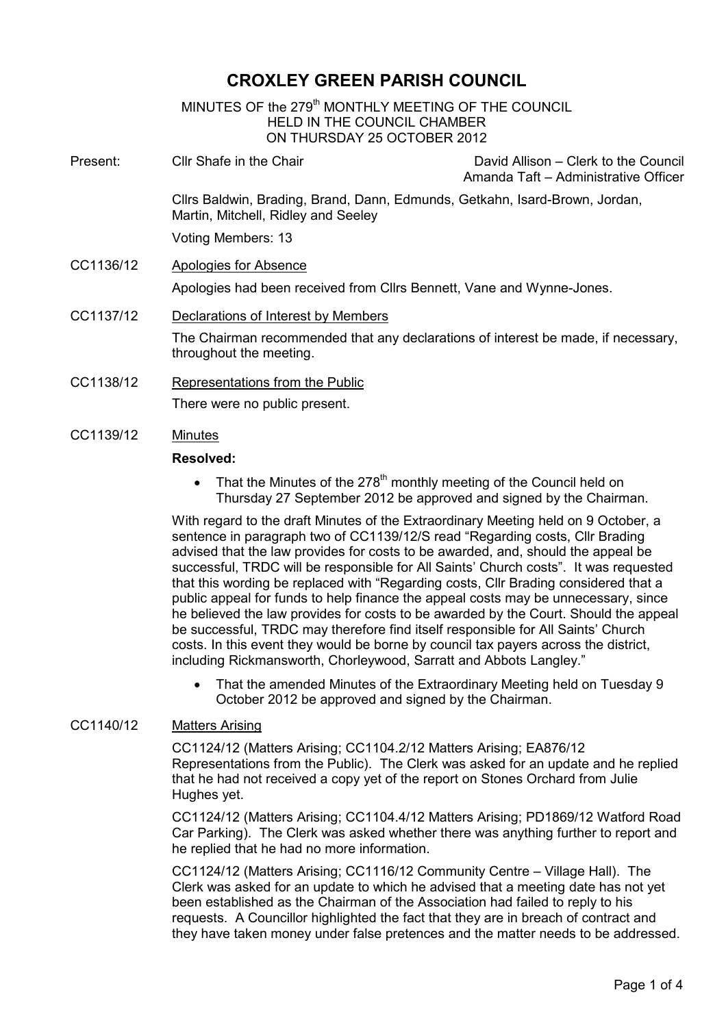# CROXLEY GREEN PARISH COUNCIL

MINUTES OF the 279<sup>th</sup> MONTHLY MEETING OF THE COUNCIL HELD IN THE COUNCIL CHAMBER ON THURSDAY 25 OCTOBER 2012 i, Present: Cllr Shafe in the Chair David Allison – Clerk to the Council Amanda Taft – Administrative Officer Cllrs Baldwin, Brading, Brand, Dann, Edmunds, Getkahn, Isard-Brown, Jordan, Martin, Mitchell, Ridley and Seeley Voting Members: 13 CC1136/12 Apologies for Absence Apologies had been received from Cllrs Bennett, Vane and Wynne-Jones. CC1137/12 Declarations of Interest by Members The Chairman recommended that any declarations of interest be made, if necessary, throughout the meeting.

- CC1138/12 Representations from the Public There were no public present.
- CC1139/12 Minutes

## Resolved:

That the Minutes of the  $278<sup>th</sup>$  monthly meeting of the Council held on Thursday 27 September 2012 be approved and signed by the Chairman.

With regard to the draft Minutes of the Extraordinary Meeting held on 9 October, a sentence in paragraph two of CC1139/12/S read "Regarding costs, Cllr Brading advised that the law provides for costs to be awarded, and, should the appeal be successful, TRDC will be responsible for All Saints' Church costs". It was requested that this wording be replaced with "Regarding costs, Cllr Brading considered that a public appeal for funds to help finance the appeal costs may be unnecessary, since he believed the law provides for costs to be awarded by the Court. Should the appeal be successful, TRDC may therefore find itself responsible for All Saints' Church costs. In this event they would be borne by council tax payers across the district, including Rickmansworth, Chorleywood, Sarratt and Abbots Langley."

• That the amended Minutes of the Extraordinary Meeting held on Tuesday 9 October 2012 be approved and signed by the Chairman.

## CC1140/12 Matters Arising

CC1124/12 (Matters Arising; CC1104.2/12 Matters Arising; EA876/12 Representations from the Public). The Clerk was asked for an update and he replied that he had not received a copy yet of the report on Stones Orchard from Julie Hughes yet.

CC1124/12 (Matters Arising; CC1104.4/12 Matters Arising; PD1869/12 Watford Road Car Parking). The Clerk was asked whether there was anything further to report and he replied that he had no more information.

CC1124/12 (Matters Arising; CC1116/12 Community Centre – Village Hall). The Clerk was asked for an update to which he advised that a meeting date has not yet been established as the Chairman of the Association had failed to reply to his requests. A Councillor highlighted the fact that they are in breach of contract and they have taken money under false pretences and the matter needs to be addressed.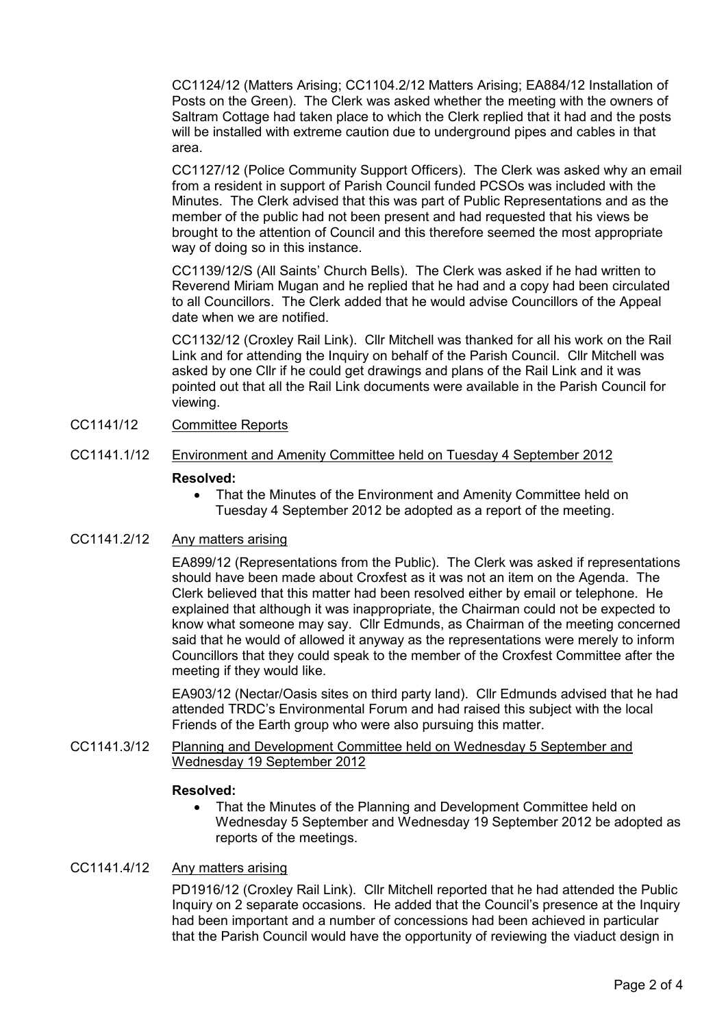CC1124/12 (Matters Arising; CC1104.2/12 Matters Arising; EA884/12 Installation of Posts on the Green). The Clerk was asked whether the meeting with the owners of Saltram Cottage had taken place to which the Clerk replied that it had and the posts will be installed with extreme caution due to underground pipes and cables in that area.

CC1127/12 (Police Community Support Officers). The Clerk was asked why an email from a resident in support of Parish Council funded PCSOs was included with the Minutes. The Clerk advised that this was part of Public Representations and as the member of the public had not been present and had requested that his views be brought to the attention of Council and this therefore seemed the most appropriate way of doing so in this instance.

CC1139/12/S (All Saints' Church Bells). The Clerk was asked if he had written to Reverend Miriam Mugan and he replied that he had and a copy had been circulated to all Councillors. The Clerk added that he would advise Councillors of the Appeal date when we are notified.

CC1132/12 (Croxley Rail Link). Cllr Mitchell was thanked for all his work on the Rail Link and for attending the Inquiry on behalf of the Parish Council. Cllr Mitchell was asked by one Cllr if he could get drawings and plans of the Rail Link and it was pointed out that all the Rail Link documents were available in the Parish Council for viewing.

# CC1141/12 Committee Reports

## CC1141.1/12 Environment and Amenity Committee held on Tuesday 4 September 2012

#### Resolved:

• That the Minutes of the Environment and Amenity Committee held on Tuesday 4 September 2012 be adopted as a report of the meeting.

## CC1141.2/12 Any matters arising

EA899/12 (Representations from the Public). The Clerk was asked if representations should have been made about Croxfest as it was not an item on the Agenda. The Clerk believed that this matter had been resolved either by email or telephone. He explained that although it was inappropriate, the Chairman could not be expected to know what someone may say. Cllr Edmunds, as Chairman of the meeting concerned said that he would of allowed it anyway as the representations were merely to inform Councillors that they could speak to the member of the Croxfest Committee after the meeting if they would like.

EA903/12 (Nectar/Oasis sites on third party land). Cllr Edmunds advised that he had attended TRDC's Environmental Forum and had raised this subject with the local Friends of the Earth group who were also pursuing this matter.

CC1141.3/12 Planning and Development Committee held on Wednesday 5 September and Wednesday 19 September 2012

#### Resolved:

• That the Minutes of the Planning and Development Committee held on Wednesday 5 September and Wednesday 19 September 2012 be adopted as reports of the meetings.

#### CC1141.4/12 Any matters arising

PD1916/12 (Croxley Rail Link). Cllr Mitchell reported that he had attended the Public Inquiry on 2 separate occasions. He added that the Council's presence at the Inquiry had been important and a number of concessions had been achieved in particular that the Parish Council would have the opportunity of reviewing the viaduct design in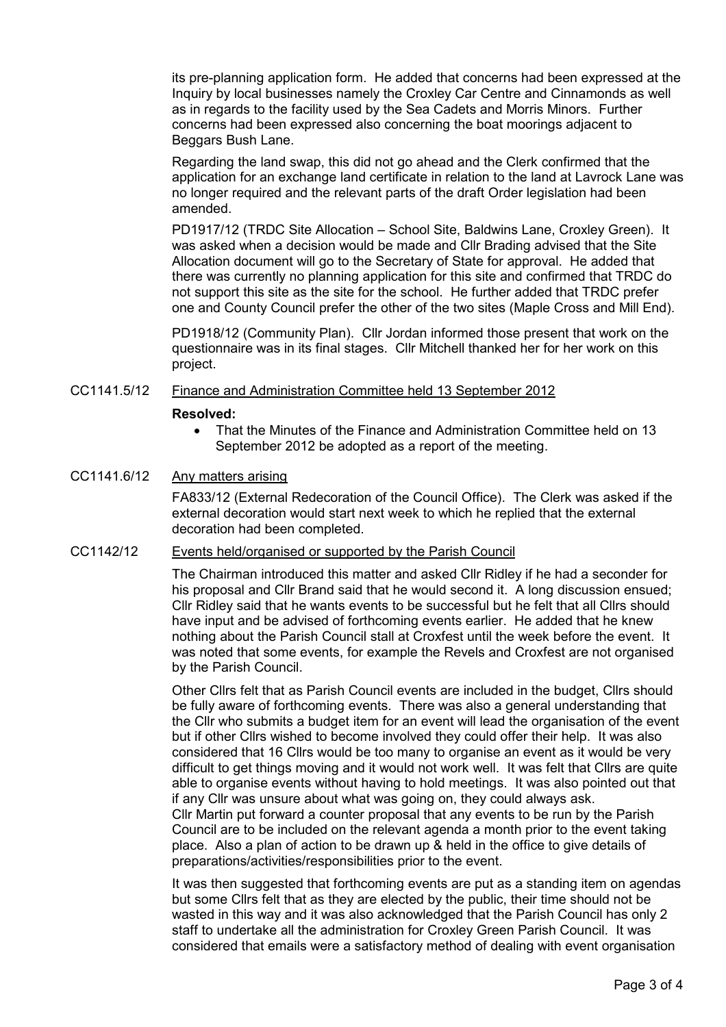its pre-planning application form. He added that concerns had been expressed at the Inquiry by local businesses namely the Croxley Car Centre and Cinnamonds as well as in regards to the facility used by the Sea Cadets and Morris Minors. Further concerns had been expressed also concerning the boat moorings adjacent to Beggars Bush Lane.

Regarding the land swap, this did not go ahead and the Clerk confirmed that the application for an exchange land certificate in relation to the land at Lavrock Lane was no longer required and the relevant parts of the draft Order legislation had been amended.

PD1917/12 (TRDC Site Allocation – School Site, Baldwins Lane, Croxley Green). It was asked when a decision would be made and Cllr Brading advised that the Site Allocation document will go to the Secretary of State for approval. He added that there was currently no planning application for this site and confirmed that TRDC do not support this site as the site for the school. He further added that TRDC prefer one and County Council prefer the other of the two sites (Maple Cross and Mill End).

PD1918/12 (Community Plan). Cllr Jordan informed those present that work on the questionnaire was in its final stages. Cllr Mitchell thanked her for her work on this project.

## CC1141.5/12 Finance and Administration Committee held 13 September 2012

#### Resolved:

• That the Minutes of the Finance and Administration Committee held on 13 September 2012 be adopted as a report of the meeting.

# CC1141.6/12 Any matters arising

FA833/12 (External Redecoration of the Council Office). The Clerk was asked if the external decoration would start next week to which he replied that the external decoration had been completed.

# CC1142/12 Events held/organised or supported by the Parish Council

The Chairman introduced this matter and asked Cllr Ridley if he had a seconder for his proposal and Cllr Brand said that he would second it. A long discussion ensued; Cllr Ridley said that he wants events to be successful but he felt that all Cllrs should have input and be advised of forthcoming events earlier. He added that he knew nothing about the Parish Council stall at Croxfest until the week before the event. It was noted that some events, for example the Revels and Croxfest are not organised by the Parish Council.

Other Cllrs felt that as Parish Council events are included in the budget, Cllrs should be fully aware of forthcoming events. There was also a general understanding that the Cllr who submits a budget item for an event will lead the organisation of the event but if other Cllrs wished to become involved they could offer their help. It was also considered that 16 Cllrs would be too many to organise an event as it would be very difficult to get things moving and it would not work well. It was felt that Cllrs are quite able to organise events without having to hold meetings. It was also pointed out that if any Cllr was unsure about what was going on, they could always ask. Cllr Martin put forward a counter proposal that any events to be run by the Parish Council are to be included on the relevant agenda a month prior to the event taking place. Also a plan of action to be drawn up & held in the office to give details of preparations/activities/responsibilities prior to the event.

It was then suggested that forthcoming events are put as a standing item on agendas but some Cllrs felt that as they are elected by the public, their time should not be wasted in this way and it was also acknowledged that the Parish Council has only 2 staff to undertake all the administration for Croxley Green Parish Council. It was considered that emails were a satisfactory method of dealing with event organisation